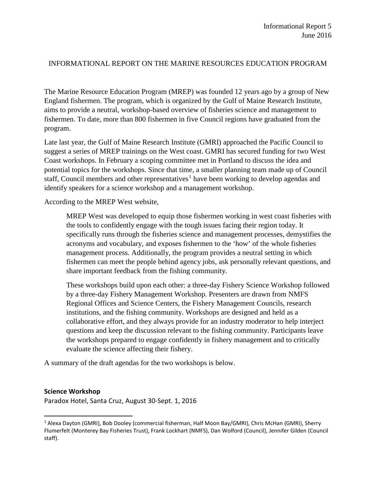### INFORMATIONAL REPORT ON THE MARINE RESOURCES EDUCATION PROGRAM

The Marine Resource Education Program (MREP) was founded 12 years ago by a group of New England fishermen. The program, which is organized by the Gulf of Maine Research Institute, aims to provide a neutral, workshop-based overview of fisheries science and management to fishermen. To date, more than 800 fishermen in five Council regions have graduated from the program.

Late last year, the Gulf of Maine Research Institute (GMRI) approached the Pacific Council to suggest a series of MREP trainings on the West coast. GMRI has secured funding for two West Coast workshops. In February a scoping committee met in Portland to discuss the idea and potential topics for the workshops. Since that time, a smaller planning team made up of Council staff, Council members and other representatives<sup>[1](#page-0-0)</sup> have been working to develop agendas and identify speakers for a science workshop and a management workshop.

According to the MREP West website,

MREP West was developed to equip those fishermen working in west coast fisheries with the tools to confidently engage with the tough issues facing their region today. It specifically runs through the fisheries science and management processes, demystifies the acronyms and vocabulary, and exposes fishermen to the 'how' of the whole fisheries management process. Additionally, the program provides a neutral setting in which fishermen can meet the people behind agency jobs, ask personally relevant questions, and share important feedback from the fishing community.

These workshops build upon each other: a three-day Fishery Science Workshop followed by a three-day Fishery Management Workshop. Presenters are drawn from NMFS Regional Offices and Science Centers, the Fishery Management Councils, research institutions, and the fishing community. Workshops are designed and held as a collaborative effort, and they always provide for an industry moderator to help interject questions and keep the discussion relevant to the fishing community. Participants leave the workshops prepared to engage confidently in fishery management and to critically evaluate the science affecting their fishery.

A summary of the draft agendas for the two workshops is below.

#### **Science Workshop**

Paradox Hotel, Santa Cruz, August 30-Sept. 1, 2016

<span id="page-0-0"></span> <sup>1</sup> Alexa Dayton (GMRI), Bob Dooley (commercial fisherman, Half Moon Bay/GMRI), Chris McHan (GMRI), Sherry Flumerfelt (Monterey Bay Fisheries Trust), Frank Lockhart (NMFS), Dan Wolford (Council), Jennifer Gilden (Council staff).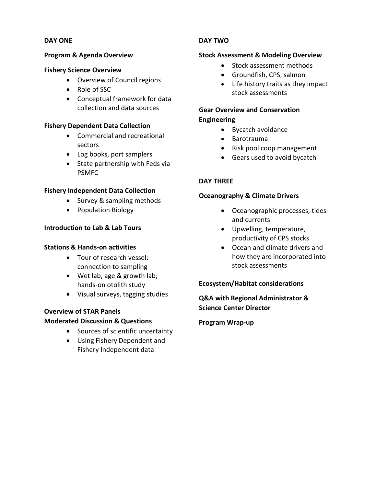#### **DAY ONE**

#### **Program & Agenda Overview**

#### **Fishery Science Overview**

- Overview of Council regions
- Role of SSC
- Conceptual framework for data collection and data sources

#### **Fishery Dependent Data Collection**

- Commercial and recreational sectors
- Log books, port samplers
- State partnership with Feds via PSMFC

#### **Fishery Independent Data Collection**

- Survey & sampling methods
- Population Biology

## **Introduction to Lab & Lab Tours**

#### **Stations & Hands-on activities**

- Tour of research vessel: connection to sampling
- Wet lab, age & growth lab; hands-on otolith study
- Visual surveys, tagging studies

# **Overview of STAR Panels**

#### **Moderated Discussion & Questions**

- Sources of scientific uncertainty
- Using Fishery Dependent and Fishery Independent data

## **DAY TWO**

#### **Stock Assessment & Modeling Overview**

- Stock assessment methods
- Groundfish, CPS, salmon
- Life history traits as they impact stock assessments

## **Gear Overview and Conservation Engineering**

- Bycatch avoidance
- Barotrauma
- Risk pool coop management
- Gears used to avoid bycatch

#### **DAY THREE**

#### **Oceanography & Climate Drivers**

- Oceanographic processes, tides and currents
- Upwelling, temperature, productivity of CPS stocks
- Ocean and climate drivers and how they are incorporated into stock assessments

#### **Ecosystem/Habitat considerations**

**Q&A with Regional Administrator & Science Center Director** 

#### **Program Wrap-up**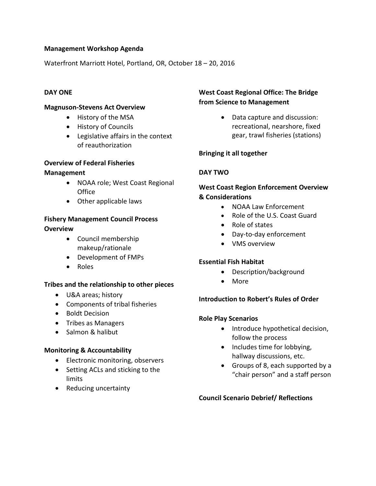## **Management Workshop Agenda**

Waterfront Marriott Hotel, Portland, OR, October 18 – 20, 2016

### **DAY ONE**

#### **Magnuson-Stevens Act Overview**

- History of the MSA
- History of Councils
- Legislative affairs in the context of reauthorization

#### **Overview of Federal Fisheries**

#### **Management**

- NOAA role; West Coast Regional **Office**
- Other applicable laws

## **Fishery Management Council Process Overview**

- Council membership makeup/rationale
- Development of FMPs
- Roles

#### **Tribes and the relationship to other pieces**

- U&A areas; history
- Components of tribal fisheries
- Boldt Decision
- Tribes as Managers
- Salmon & halibut

#### **Monitoring & Accountability**

- Electronic monitoring, observers
- Setting ACLs and sticking to the limits
- Reducing uncertainty

## **West Coast Regional Office: The Bridge from Science to Management**

• Data capture and discussion: recreational, nearshore, fixed gear, trawl fisheries (stations)

## **Bringing it all together**

## **DAY TWO**

## **West Coast Region Enforcement Overview & Considerations**

- NOAA Law Enforcement
- Role of the U.S. Coast Guard
- Role of states
- Day-to-day enforcement
- VMS overview

## **Essential Fish Habitat**

- Description/background
- More

#### **Introduction to Robert's Rules of Order**

#### **Role Play Scenarios**

- Introduce hypothetical decision, follow the process
- Includes time for lobbying, hallway discussions, etc.
- Groups of 8, each supported by a "chair person" and a staff person

#### **Council Scenario Debrief/ Reflections**